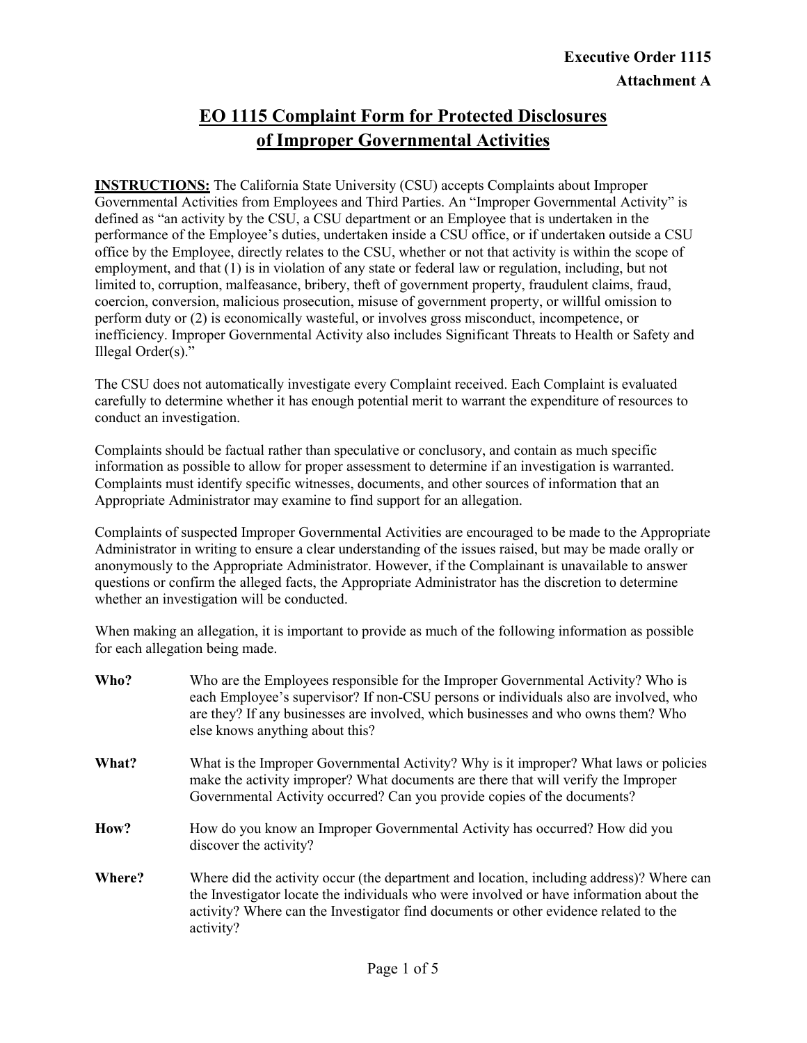# **EO 1115 Complaint Form for Protected Disclosures of Improper Governmental Activities**

**INSTRUCTIONS:** The California State University (CSU) accepts Complaints about Improper Governmental Activities from Employees and Third Parties. An "Improper Governmental Activity" is defined as "an activity by the CSU, a CSU department or an Employee that is undertaken in the performance of the Employee's duties, undertaken inside a CSU office, or if undertaken outside a CSU office by the Employee, directly relates to the CSU, whether or not that activity is within the scope of employment, and that (1) is in violation of any state or federal law or regulation, including, but not limited to, corruption, malfeasance, bribery, theft of government property, fraudulent claims, fraud, coercion, conversion, malicious prosecution, misuse of government property, or willful omission to perform duty or (2) is economically wasteful, or involves gross misconduct, incompetence, or inefficiency. Improper Governmental Activity also includes Significant Threats to Health or Safety and Illegal Order(s)."

The CSU does not automatically investigate every Complaint received. Each Complaint is evaluated carefully to determine whether it has enough potential merit to warrant the expenditure of resources to conduct an investigation.

Complaints should be factual rather than speculative or conclusory, and contain as much specific information as possible to allow for proper assessment to determine if an investigation is warranted. Complaints must identify specific witnesses, documents, and other sources of information that an Appropriate Administrator may examine to find support for an allegation.

Complaints of suspected Improper Governmental Activities are encouraged to be made to the Appropriate Administrator in writing to ensure a clear understanding of the issues raised, but may be made orally or anonymously to the Appropriate Administrator. However, if the Complainant is unavailable to answer questions or confirm the alleged facts, the Appropriate Administrator has the discretion to determine whether an investigation will be conducted.

When making an allegation, it is important to provide as much of the following information as possible for each allegation being made.

| Who?   | Who are the Employees responsible for the Improper Governmental Activity? Who is<br>each Employee's supervisor? If non-CSU persons or individuals also are involved, who<br>are they? If any businesses are involved, which businesses and who owns them? Who<br>else knows anything about this? |
|--------|--------------------------------------------------------------------------------------------------------------------------------------------------------------------------------------------------------------------------------------------------------------------------------------------------|
| What?  | What is the Improper Governmental Activity? Why is it improper? What laws or policies<br>make the activity improper? What documents are there that will verify the Improper<br>Governmental Activity occurred? Can you provide copies of the documents?                                          |
| How?   | How do you know an Improper Governmental Activity has occurred? How did you<br>discover the activity?                                                                                                                                                                                            |
| Where? | Where did the activity occur (the department and location, including address)? Where can<br>the Investigator locate the individuals who were involved or have information about the<br>activity? Where can the Investigator find documents or other evidence related to the<br>activity?         |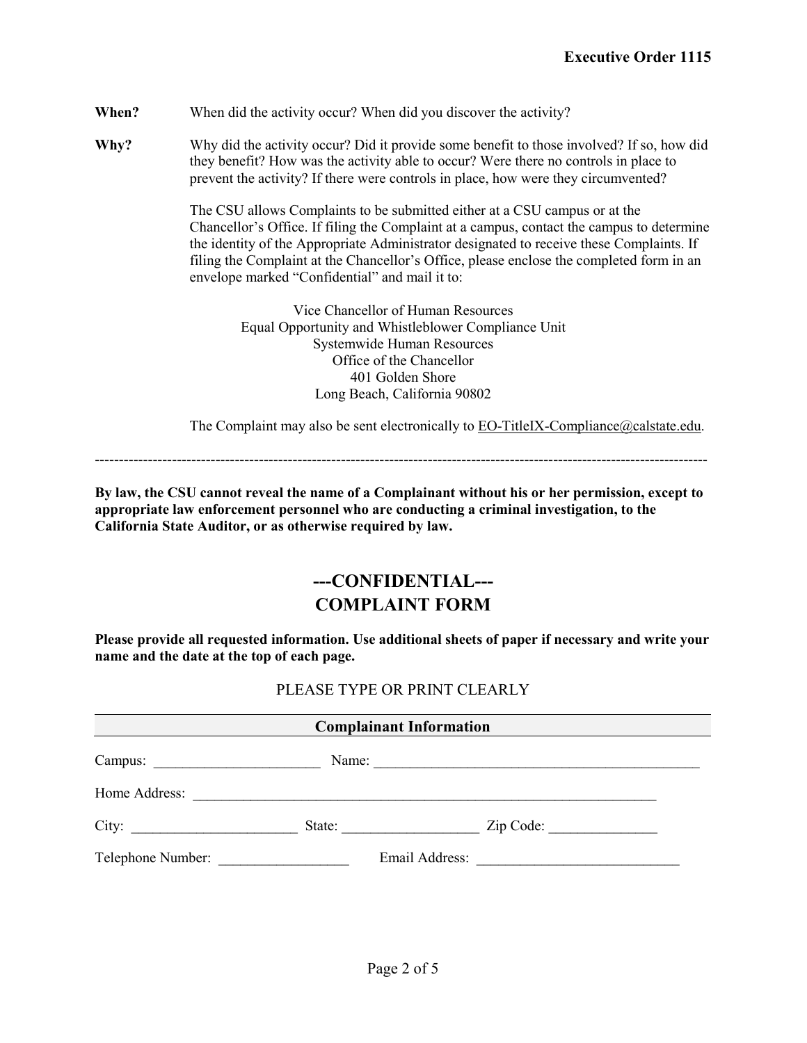**When?** When did the activity occur? When did you discover the activity?

**Why?** Why did the activity occur? Did it provide some benefit to those involved? If so, how did they benefit? How was the activity able to occur? Were there no controls in place to prevent the activity? If there were controls in place, how were they circumvented?

> The CSU allows Complaints to be submitted either at a CSU campus or at the Chancellor's Office. If filing the Complaint at a campus, contact the campus to determine the identity of the Appropriate Administrator designated to receive these Complaints. If filing the Complaint at the Chancellor's Office, please enclose the completed form in an envelope marked "Confidential" and mail it to:

Vice Chancellor of Human Resources Equal Opportunity and Whistleblower Compliance Unit Systemwide Human Resources Office of the Chancellor 401 Golden Shore Long Beach, California 90802

The Complaint may also be sent electronically to  $\underline{EO-TitleIX-Compliance}$  (*a*) calstate.edu.

-------------------------------------------------------------------------------------------------------------------------------

**By law, the CSU cannot reveal the name of a Complainant without his or her permission, except to appropriate law enforcement personnel who are conducting a criminal investigation, to the California State Auditor, or as otherwise required by law.**

# **---CONFIDENTIAL--- COMPLAINT FORM**

**Please provide all requested information. Use additional sheets of paper if necessary and write your name and the date at the top of each page.**

### PLEASE TYPE OR PRINT CLEARLY

| <b>Complainant Information</b> |        |                      |  |  |
|--------------------------------|--------|----------------------|--|--|
|                                |        | Name:                |  |  |
|                                |        |                      |  |  |
|                                | State: | $\mathsf{Zip Code:}$ |  |  |
| Telephone Number:              |        |                      |  |  |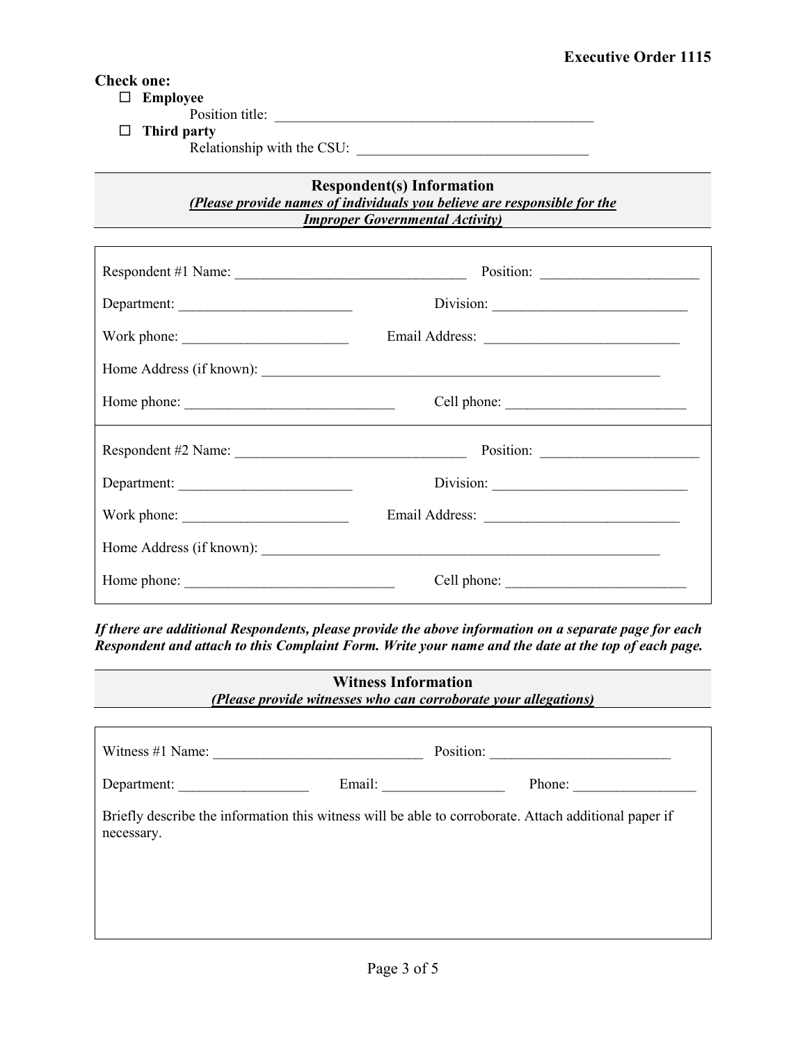#### **Check one:**

**Employee**

Position title: \_\_\_\_\_\_\_\_\_\_\_\_\_\_\_\_\_\_\_\_\_\_\_\_\_\_\_\_\_\_\_\_\_\_\_\_\_\_\_\_\_\_\_\_

**Third party**

Relationship with the CSU: \_\_\_\_\_\_\_\_\_\_\_\_\_\_\_\_\_\_\_\_\_\_\_\_\_\_\_\_\_\_\_\_

### **Respondent(s) Information** *(Please provide names of individuals you believe are responsible for the Improper Governmental Activity)*

| Department:              |             |  |
|--------------------------|-------------|--|
| Work phone:              |             |  |
|                          |             |  |
|                          | Cell phone: |  |
|                          |             |  |
|                          |             |  |
| Work phone:              |             |  |
| Home Address (if known): |             |  |
|                          |             |  |

*If there are additional Respondents, please provide the above information on a separate page for each Respondent and attach to this Complaint Form. Write your name and the date at the top of each page.*

| <b>Witness Information</b><br>(Please provide witnesses who can corroborate your allegations) |                                                                                                       |        |  |  |  |
|-----------------------------------------------------------------------------------------------|-------------------------------------------------------------------------------------------------------|--------|--|--|--|
| Position:<br>Witness $\#1$ Name:                                                              |                                                                                                       |        |  |  |  |
| Department:                                                                                   |                                                                                                       | Phone: |  |  |  |
| necessary.                                                                                    | Briefly describe the information this witness will be able to corroborate. Attach additional paper if |        |  |  |  |
|                                                                                               |                                                                                                       |        |  |  |  |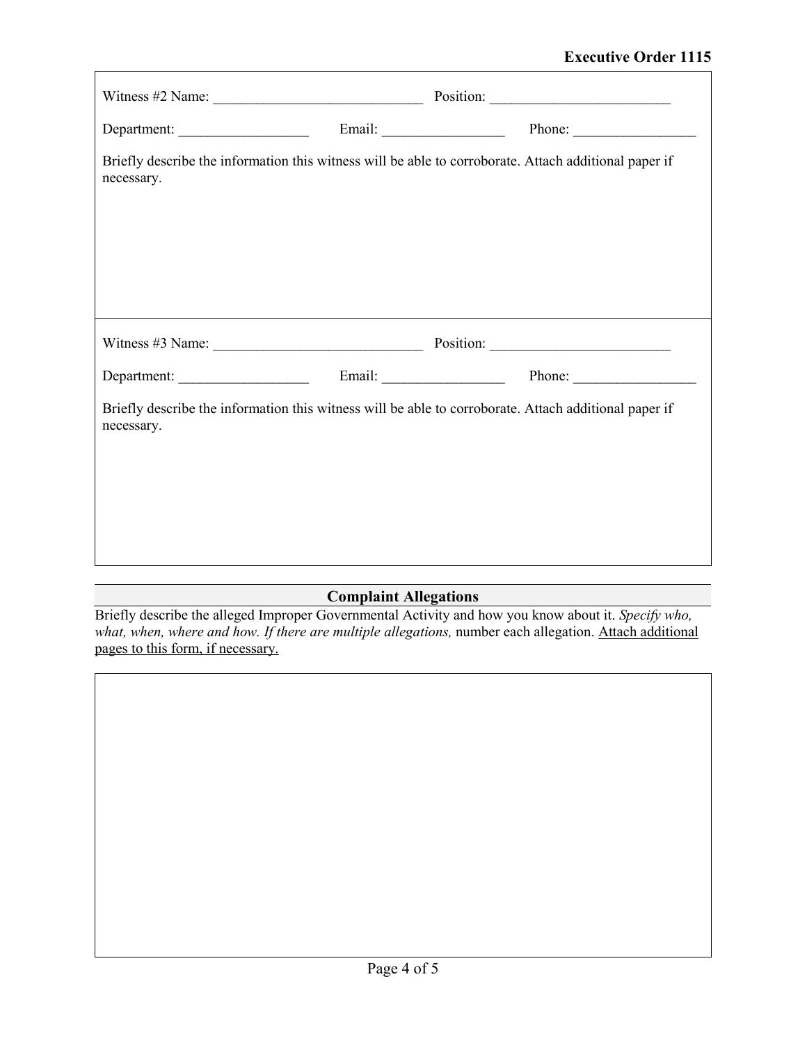| necessary. |  | Briefly describe the information this witness will be able to corroborate. Attach additional paper if |
|------------|--|-------------------------------------------------------------------------------------------------------|
|            |  | Witness #3 Name: $\frac{1}{2}$ Position: $\frac{1}{2}$ Position:                                      |
|            |  | Department: <u>Container Container Container Container Container Container Phone:</u>                 |
| necessary. |  | Briefly describe the information this witness will be able to corroborate. Attach additional paper if |

## **Complaint Allegations**

Briefly describe the alleged Improper Governmental Activity and how you know about it. *Specify who, what, when, where and how. If there are multiple allegations,* number each allegation. Attach additional pages to this form, if necessary.